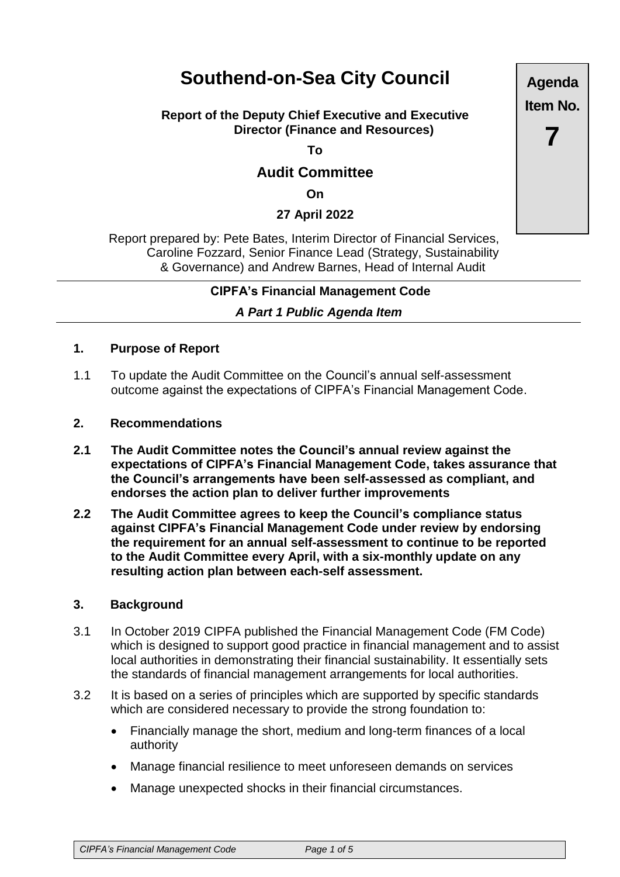# **Southend-on-Sea City Council**

# **Report of the Deputy Chief Executive and Executive Director (Finance and Resources)**

**To**

# **Audit Committee**

**On**

# **27 April 2022**

Report prepared by: Pete Bates, Interim Director of Financial Services, Caroline Fozzard, Senior Finance Lead (Strategy, Sustainability & Governance) and Andrew Barnes, Head of Internal Audit

## **CIPFA's Financial Management Code**

## *A Part 1 Public Agenda Item*

#### **1. Purpose of Report**

1.1 To update the Audit Committee on the Council's annual self-assessment outcome against the expectations of CIPFA's Financial Management Code.

#### **2. Recommendations**

- **2.1 The Audit Committee notes the Council's annual review against the expectations of CIPFA's Financial Management Code, takes assurance that the Council's arrangements have been self-assessed as compliant, and endorses the action plan to deliver further improvements**
- **2.2 The Audit Committee agrees to keep the Council's compliance status against CIPFA's Financial Management Code under review by endorsing the requirement for an annual self-assessment to continue to be reported to the Audit Committee every April, with a six-monthly update on any resulting action plan between each-self assessment.**

#### **3. Background**

- 3.1 In October 2019 CIPFA published the Financial Management Code (FM Code) which is designed to support good practice in financial management and to assist local authorities in demonstrating their financial sustainability. It essentially sets the standards of financial management arrangements for local authorities.
- 3.2 It is based on a series of principles which are supported by specific standards which are considered necessary to provide the strong foundation to:
	- Financially manage the short, medium and long-term finances of a local authority
	- Manage financial resilience to meet unforeseen demands on services
	- Manage unexpected shocks in their financial circumstances.

*CIPFA's Financial Management Code Page 1 of 5*

**Agenda Item No.**

**7**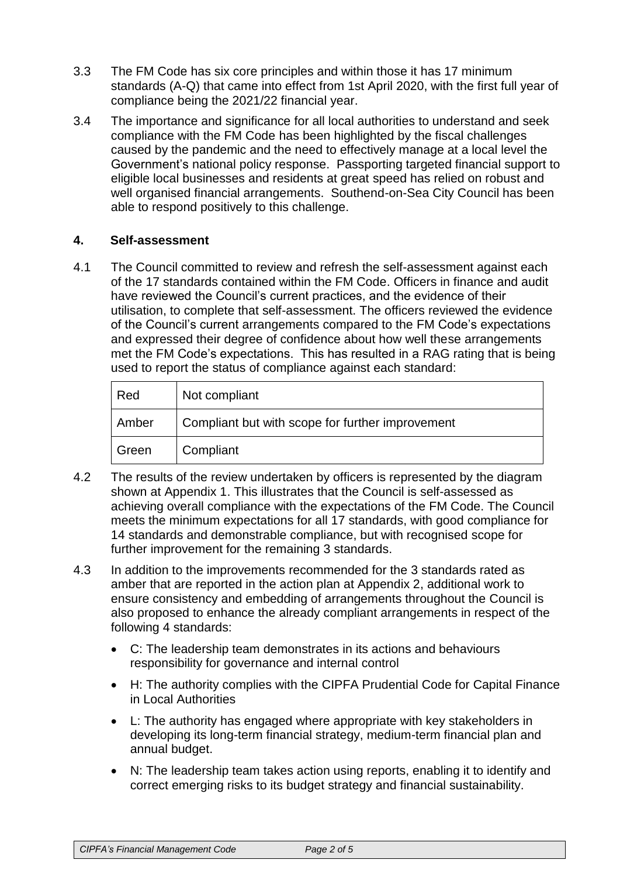- 3.3 The FM Code has six core principles and within those it has 17 minimum standards (A-Q) that came into effect from 1st April 2020, with the first full year of compliance being the 2021/22 financial year.
- 3.4 The importance and significance for all local authorities to understand and seek compliance with the FM Code has been highlighted by the fiscal challenges caused by the pandemic and the need to effectively manage at a local level the Government's national policy response. Passporting targeted financial support to eligible local businesses and residents at great speed has relied on robust and well organised financial arrangements. Southend-on-Sea City Council has been able to respond positively to this challenge.

# **4. Self-assessment**

4.1 The Council committed to review and refresh the self-assessment against each of the 17 standards contained within the FM Code. Officers in finance and audit have reviewed the Council's current practices, and the evidence of their utilisation, to complete that self-assessment. The officers reviewed the evidence of the Council's current arrangements compared to the FM Code's expectations and expressed their degree of confidence about how well these arrangements met the FM Code's expectations. This has resulted in a RAG rating that is being used to report the status of compliance against each standard:

| Red   | Not compliant                                    |
|-------|--------------------------------------------------|
| Amber | Compliant but with scope for further improvement |
| Green | Compliant                                        |

- 4.2 The results of the review undertaken by officers is represented by the diagram shown at Appendix 1. This illustrates that the Council is self-assessed as achieving overall compliance with the expectations of the FM Code. The Council meets the minimum expectations for all 17 standards, with good compliance for 14 standards and demonstrable compliance, but with recognised scope for further improvement for the remaining 3 standards.
- 4.3 In addition to the improvements recommended for the 3 standards rated as amber that are reported in the action plan at Appendix 2, additional work to ensure consistency and embedding of arrangements throughout the Council is also proposed to enhance the already compliant arrangements in respect of the following 4 standards:
	- C: The leadership team demonstrates in its actions and behaviours responsibility for governance and internal control
	- H: The authority complies with the CIPFA Prudential Code for Capital Finance in Local Authorities
	- L: The authority has engaged where appropriate with key stakeholders in developing its long-term financial strategy, medium-term financial plan and annual budget.
	- N: The leadership team takes action using reports, enabling it to identify and correct emerging risks to its budget strategy and financial sustainability.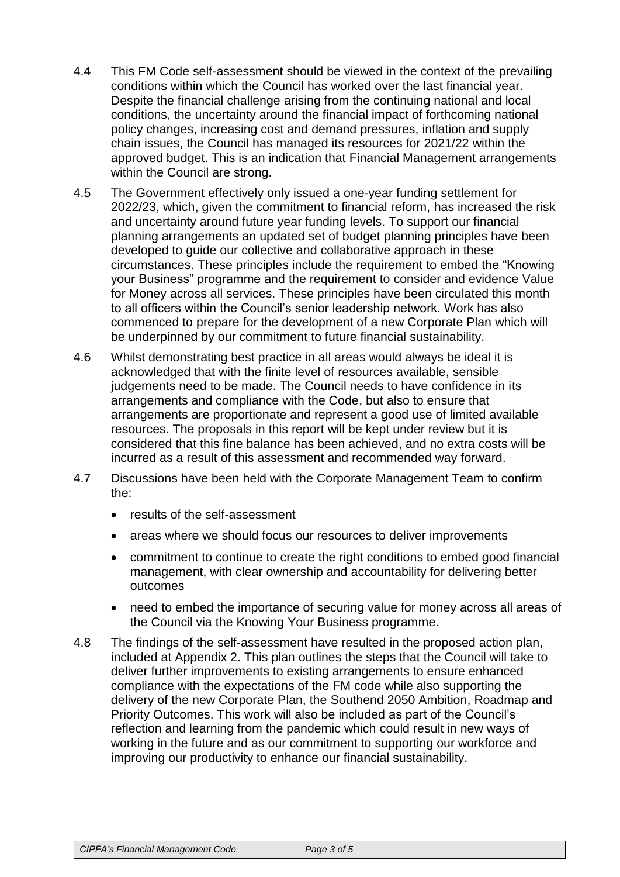- 4.4 This FM Code self-assessment should be viewed in the context of the prevailing conditions within which the Council has worked over the last financial year. Despite the financial challenge arising from the continuing national and local conditions, the uncertainty around the financial impact of forthcoming national policy changes, increasing cost and demand pressures, inflation and supply chain issues, the Council has managed its resources for 2021/22 within the approved budget. This is an indication that Financial Management arrangements within the Council are strong.
- 4.5 The Government effectively only issued a one-year funding settlement for 2022/23, which, given the commitment to financial reform, has increased the risk and uncertainty around future year funding levels. To support our financial planning arrangements an updated set of budget planning principles have been developed to guide our collective and collaborative approach in these circumstances. These principles include the requirement to embed the "Knowing your Business" programme and the requirement to consider and evidence Value for Money across all services. These principles have been circulated this month to all officers within the Council's senior leadership network. Work has also commenced to prepare for the development of a new Corporate Plan which will be underpinned by our commitment to future financial sustainability.
- 4.6 Whilst demonstrating best practice in all areas would always be ideal it is acknowledged that with the finite level of resources available, sensible judgements need to be made. The Council needs to have confidence in its arrangements and compliance with the Code, but also to ensure that arrangements are proportionate and represent a good use of limited available resources. The proposals in this report will be kept under review but it is considered that this fine balance has been achieved, and no extra costs will be incurred as a result of this assessment and recommended way forward.
- 4.7 Discussions have been held with the Corporate Management Team to confirm the:
	- results of the self-assessment
	- areas where we should focus our resources to deliver improvements
	- commitment to continue to create the right conditions to embed good financial management, with clear ownership and accountability for delivering better outcomes
	- need to embed the importance of securing value for money across all areas of the Council via the Knowing Your Business programme.
- 4.8 The findings of the self-assessment have resulted in the proposed action plan, included at Appendix 2. This plan outlines the steps that the Council will take to deliver further improvements to existing arrangements to ensure enhanced compliance with the expectations of the FM code while also supporting the delivery of the new Corporate Plan, the Southend 2050 Ambition, Roadmap and Priority Outcomes. This work will also be included as part of the Council's reflection and learning from the pandemic which could result in new ways of working in the future and as our commitment to supporting our workforce and improving our productivity to enhance our financial sustainability.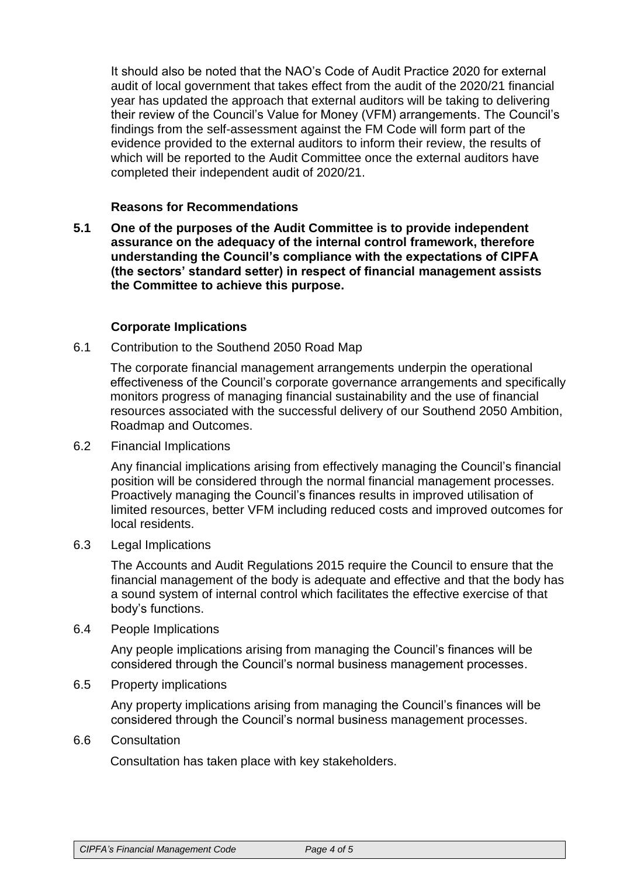It should also be noted that the NAO's Code of Audit Practice 2020 for external audit of local government that takes effect from the audit of the 2020/21 financial year has updated the approach that external auditors will be taking to delivering their review of the Council's Value for Money (VFM) arrangements. The Council's findings from the self-assessment against the FM Code will form part of the evidence provided to the external auditors to inform their review, the results of which will be reported to the Audit Committee once the external auditors have completed their independent audit of 2020/21.

# **Reasons for Recommendations**

**5.1 One of the purposes of the Audit Committee is to provide independent assurance on the adequacy of the internal control framework, therefore understanding the Council's compliance with the expectations of CIPFA (the sectors' standard setter) in respect of financial management assists the Committee to achieve this purpose.**

# **Corporate Implications**

6.1 Contribution to the Southend 2050 Road Map

The corporate financial management arrangements underpin the operational effectiveness of the Council's corporate governance arrangements and specifically monitors progress of managing financial sustainability and the use of financial resources associated with the successful delivery of our Southend 2050 Ambition, Roadmap and Outcomes.

6.2 Financial Implications

Any financial implications arising from effectively managing the Council's financial position will be considered through the normal financial management processes. Proactively managing the Council's finances results in improved utilisation of limited resources, better VFM including reduced costs and improved outcomes for local residents.

6.3 Legal Implications

The Accounts and Audit Regulations 2015 require the Council to ensure that the financial management of the body is adequate and effective and that the body has a sound system of internal control which facilitates the effective exercise of that body's functions.

6.4 People Implications

Any people implications arising from managing the Council's finances will be considered through the Council's normal business management processes.

6.5 Property implications

Any property implications arising from managing the Council's finances will be considered through the Council's normal business management processes.

#### 6.6 Consultation

Consultation has taken place with key stakeholders.